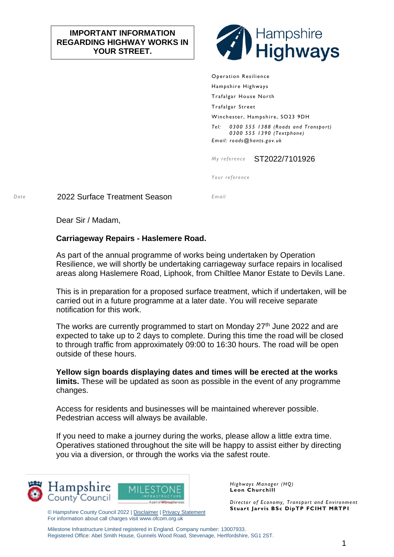## **IMPORTANT INFORMATION REGARDING HIGHWAY WORKS IN YOUR STREET.**



Operation Resilience Hampshire Highways Trafalgar House North Trafalgar Street Winchester, Hampshire, SO23 9DH *Tel: 0300 555 1388 (Roads and Transport) 0300 555 1390 (Textphone) Email: roads@hants.gov.uk*

*My reference* ST2022/7101926

*Your reference*

*Date* 2022 Surface Treatment Season *Email*

Dear Sir / Madam,

## **Carriageway Repairs - Haslemere Road.**

As part of the annual programme of works being undertaken by Operation Resilience, we will shortly be undertaking carriageway surface repairs in localised areas along Haslemere Road, Liphook, from Chiltlee Manor Estate to Devils Lane.

This is in preparation for a proposed surface treatment, which if undertaken, will be carried out in a future programme at a later date. You will receive separate notification for this work.

The works are currently programmed to start on Monday  $27<sup>th</sup>$  June 2022 and are expected to take up to 2 days to complete. During this time the road will be closed to through traffic from approximately 09:00 to 16:30 hours. The road will be open outside of these hours.

**Yellow sign boards displaying dates and times will be erected at the works limits.** These will be updated as soon as possible in the event of any programme changes.

Access for residents and businesses will be maintained wherever possible. Pedestrian access will always be available.

If you need to make a journey during the works, please allow a little extra time. Operatives stationed throughout the site will be happy to assist either by directing you via a diversion, or through the works via the safest route.





© Hampshire County Council 2022 | [Disclaimer](http://www3.hants.gov.uk/disclaimer) [| Privacy Statement](http://www3.hants.gov.uk/privacy) For information about call charges visit www.ofcom.org.uk

*Highways Manager (HQ)* **Leon Churchill**

*Director of Economy, Transport and Environment* **Stuart Jarvis BSc DipTP FCIHT MRTPI**

Milestone Infrastructure Limited registered in England. Company number: 13007933. Registered Office: Abel Smith House, Gunnels Wood Road, Stevenage, Hertfordshire, SG1 2ST.